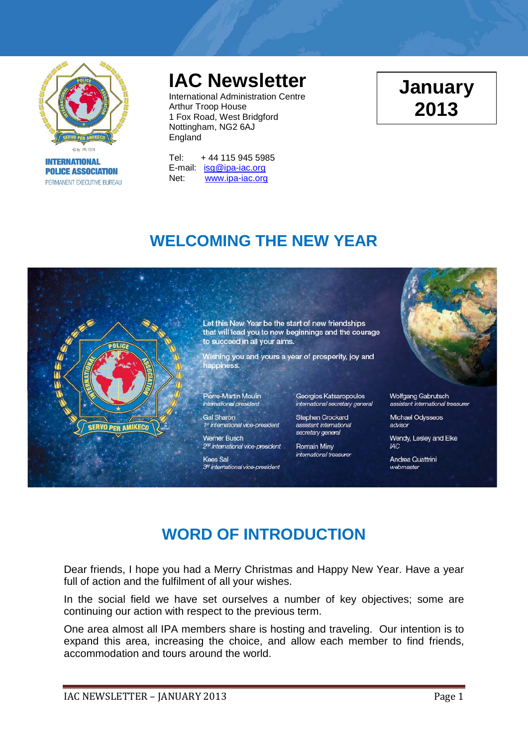

**INTERNATIONAL POLICE ASSOCIATION** PERMANENT EXECUTIVE BUREAU

# **IAC Newsletter**

International Administration Centre Arthur Troop House 1 Fox Road, West Bridgford Nottingham, NG2 6AJ England

Tel: + 44 115 945 5985 E-mail: [isg@ipa-iac.org](mailto:isg@ipa-iac.org) Net: [www.ipa-iac.org](http://www.ipa-iac.org/)

# **January 2013**

## **WELCOMING THE NEW YEAR**



## **WORD OF INTRODUCTION**

Dear friends, I hope you had a Merry Christmas and Happy New Year. Have a year full of action and the fulfilment of all your wishes.

In the social field we have set ourselves a number of key objectives; some are continuing our action with respect to the previous term.

One area almost all IPA members share is hosting and traveling. Our intention is to expand this area, increasing the choice, and allow each member to find friends, accommodation and tours around the world.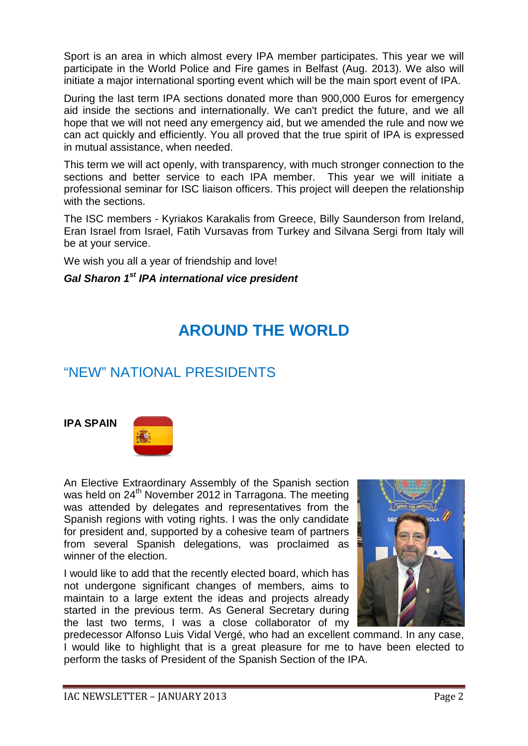Sport is an area in which almost every IPA member participates. This year we will participate in the World Police and Fire games in Belfast (Aug. 2013). We also will initiate a major international sporting event which will be the main sport event of IPA.

During the last term IPA sections donated more than 900,000 Euros for emergency aid inside the sections and internationally. We can't predict the future, and we all hope that we will not need any emergency aid, but we amended the rule and now we can act quickly and efficiently. You all proved that the true spirit of IPA is expressed in mutual assistance, when needed.

This term we will act openly, with transparency, with much stronger connection to the sections and better service to each IPA member. This year we will initiate a professional seminar for ISC liaison officers. This project will deepen the relationship with the sections.

The ISC members - Kyriakos Karakalis from Greece, Billy Saunderson from Ireland, Eran Israel from Israel, Fatih Vursavas from Turkey and Silvana Sergi from Italy will be at your service.

We wish you all a year of friendship and love!

### *Gal Sharon 1st IPA international vice president*

## **AROUND THE WORLD**

## "NEW" NATIONAL PRESIDENTS

#### **IPA SPAIN**



An Elective Extraordinary Assembly of the Spanish section was held on 24<sup>th</sup> November 2012 in Tarragona. The meeting was attended by delegates and representatives from the Spanish regions with voting rights. I was the only candidate for president and, supported by a cohesive team of partners from several Spanish delegations, was proclaimed as winner of the election.

I would like to add that the recently elected board, which has not undergone significant changes of members, aims to maintain to a large extent the ideas and projects already started in the previous term. As General Secretary during the last two terms, I was a close collaborator of my



predecessor Alfonso Luis Vidal Vergé, who had an excellent command. In any case, I would like to highlight that is a great pleasure for me to have been elected to perform the tasks of President of the Spanish Section of the IPA.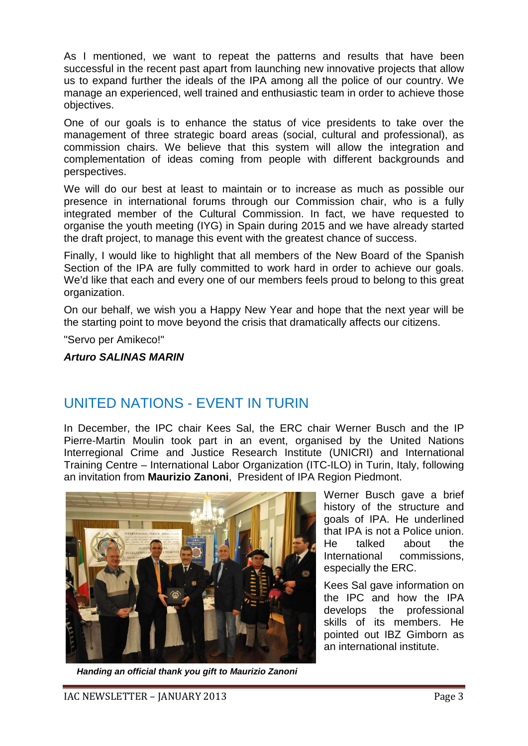As I mentioned, we want to repeat the patterns and results that have been successful in the recent past apart from launching new innovative projects that allow us to expand further the ideals of the IPA among all the police of our country. We manage an experienced, well trained and enthusiastic team in order to achieve those objectives.

One of our goals is to enhance the status of vice presidents to take over the management of three strategic board areas (social, cultural and professional), as commission chairs. We believe that this system will allow the integration and complementation of ideas coming from people with different backgrounds and perspectives.

We will do our best at least to maintain or to increase as much as possible our presence in international forums through our Commission chair, who is a fully integrated member of the Cultural Commission. In fact, we have requested to organise the youth meeting (IYG) in Spain during 2015 and we have already started the draft project, to manage this event with the greatest chance of success.

Finally, I would like to highlight that all members of the New Board of the Spanish Section of the IPA are fully committed to work hard in order to achieve our goals. We'd like that each and every one of our members feels proud to belong to this great organization.

On our behalf, we wish you a Happy New Year and hope that the next year will be the starting point to move beyond the crisis that dramatically affects our citizens.

"Servo per Amikeco!"

*Arturo SALINAS MARIN*

### UNITED NATIONS - EVENT IN TURIN

In December, the IPC chair Kees Sal, the ERC chair Werner Busch and the IP Pierre-Martin Moulin took part in an event, organised by the United Nations Interregional Crime and Justice Research Institute (UNICRI) and International Training Centre – International Labor Organization (ITC-ILO) in Turin, Italy, following an invitation from **Maurizio Zanoni**, President of IPA Region Piedmont.



Werner Busch gave a brief history of the structure and goals of IPA. He underlined that IPA is not a Police union. He talked about the International commissions, especially the ERC.

Kees Sal gave information on the IPC and how the IPA develops the professional skills of its members. He pointed out IBZ Gimborn as an international institute.

*Handing an official thank you gift to Maurizio Zanoni*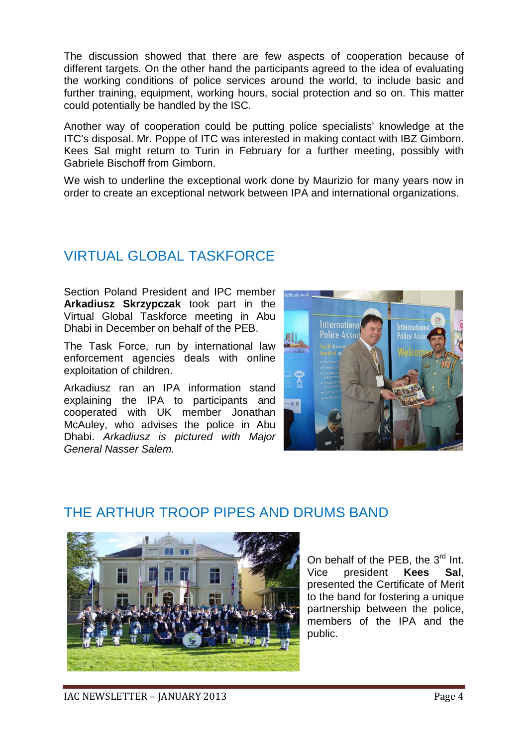The discussion showed that there are few aspects of cooperation because of different targets. On the other hand the participants agreed to the idea of evaluating the working conditions of police services around the world, to include basic and further training, equipment, working hours, social protection and so on. This matter could potentially be handled by the ISC.

Another way of cooperation could be putting police specialists' knowledge at the ITC's disposal. Mr. Poppe of ITC was interested in making contact with IBZ Gimborn. Kees Sal might return to Turin in February for a further meeting, possibly with Gabriele Bischoff from Gimborn.

We wish to underline the exceptional work done by Maurizio for many years now in order to create an exceptional network between IPA and international organizations.

## VIRTUAL GLOBAL TASKFORCE

Section Poland President and IPC member **Arkadiusz Skrzypczak** took part in the Virtual Global Taskforce meeting in Abu Dhabi in December on behalf of the PEB.

The Task Force, run by international law enforcement agencies deals with online exploitation of children.

Arkadiusz ran an IPA information stand explaining the IPA to participants and cooperated with UK member Jonathan McAuley, who advises the police in Abu Dhabi. *Arkadiusz is pictured with Major General Nasser Salem.*



### THE ARTHUR TROOP PIPES AND DRUMS BAND



On behalf of the PEB, the 3<sup>rd</sup> Int. Vice president **Kees Sal**, presented the Certificate of Merit to the band for fostering a unique partnership between the police, members of the IPA and the public.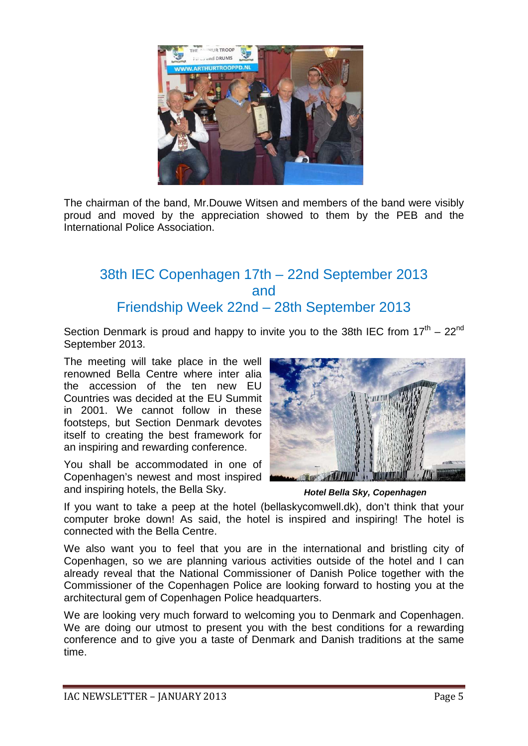

The chairman of the band, Mr.Douwe Witsen and members of the band were visibly proud and moved by the appreciation showed to them by the PEB and the International Police Association.

### 38th IEC Copenhagen 17th – 22nd September 2013 and Friendship Week 22nd – 28th September 2013

Section Denmark is proud and happy to invite you to the 38th IEC from  $17<sup>th</sup> - 22<sup>nd</sup>$ September 2013.

The meeting will take place in the well renowned Bella Centre where inter alia the accession of the ten new EU Countries was decided at the EU Summit in 2001. We cannot follow in these footsteps, but Section Denmark devotes itself to creating the best framework for an inspiring and rewarding conference.

You shall be accommodated in one of Copenhagen's newest and most inspired and inspiring hotels, the Bella Sky.



*Hotel Bella Sky, Copenhagen*

If you want to take a peep at the hotel (bellaskycomwell.dk), don't think that your computer broke down! As said, the hotel is inspired and inspiring! The hotel is connected with the Bella Centre.

We also want you to feel that you are in the international and bristling city of Copenhagen, so we are planning various activities outside of the hotel and I can already reveal that the National Commissioner of Danish Police together with the Commissioner of the Copenhagen Police are looking forward to hosting you at the architectural gem of Copenhagen Police headquarters.

We are looking very much forward to welcoming you to Denmark and Copenhagen. We are doing our utmost to present you with the best conditions for a rewarding conference and to give you a taste of Denmark and Danish traditions at the same time.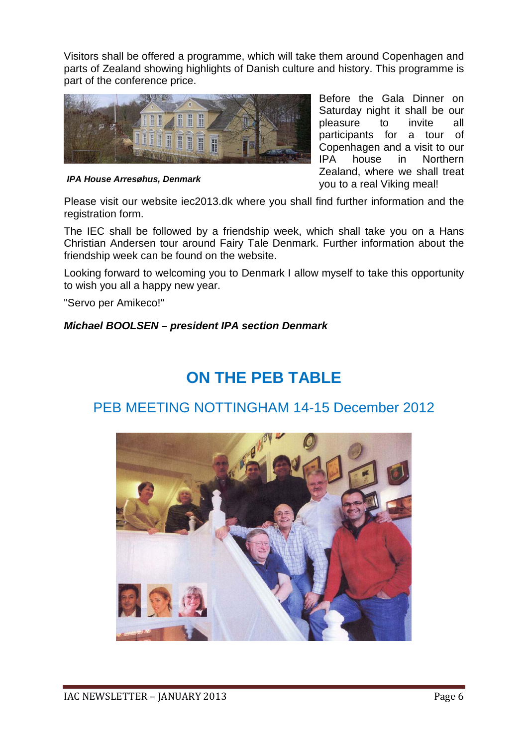Visitors shall be offered a programme, which will take them around Copenhagen and parts of Zealand showing highlights of Danish culture and history. This programme is part of the conference price.



*IPA House Arresøhus, Denmark*

Before the Gala Dinner on Saturday night it shall be our pleasure to invite all participants for a tour of Copenhagen and a visit to our IPA house in Northern Zealand, where we shall treat you to a real Viking meal!

Please visit our website iec2013.dk where you shall find further information and the registration form.

The IEC shall be followed by a friendship week, which shall take you on a Hans Christian Andersen tour around Fairy Tale Denmark. Further information about the friendship week can be found on the website.

Looking forward to welcoming you to Denmark I allow myself to take this opportunity to wish you all a happy new year.

"Servo per Amikeco!"

#### *Michael BOOLSEN – president IPA section Denmark*

## **ON THE PEB TABLE**

### PEB MEETING NOTTINGHAM 14-15 December 2012

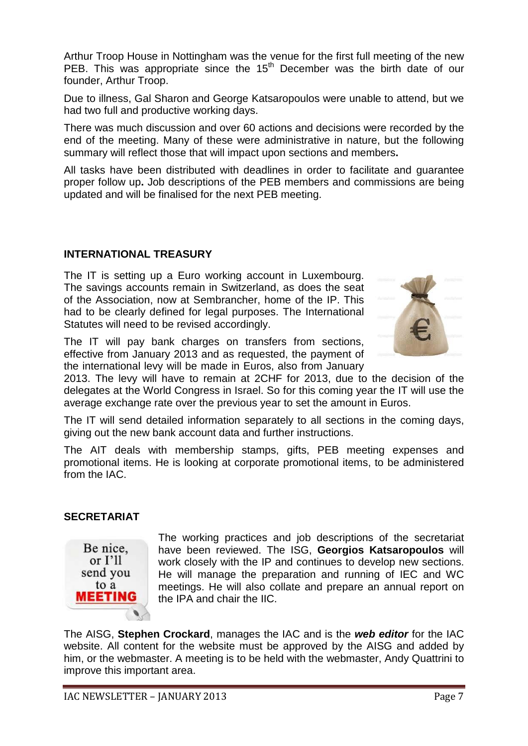Arthur Troop House in Nottingham was the venue for the first full meeting of the new PEB. This was appropriate since the 15<sup>th</sup> December was the birth date of our founder, Arthur Troop.

Due to illness, Gal Sharon and George Katsaropoulos were unable to attend, but we had two full and productive working days.

There was much discussion and over 60 actions and decisions were recorded by the end of the meeting. Many of these were administrative in nature, but the following summary will reflect those that will impact upon sections and members**.** 

All tasks have been distributed with deadlines in order to facilitate and guarantee proper follow up**.** Job descriptions of the PEB members and commissions are being updated and will be finalised for the next PEB meeting.

#### **INTERNATIONAL TREASURY**

The IT is setting up a Euro working account in Luxembourg. The savings accounts remain in Switzerland, as does the seat of the Association, now at Sembrancher, home of the IP. This had to be clearly defined for legal purposes. The International Statutes will need to be revised accordingly.



The IT will pay bank charges on transfers from sections, effective from January 2013 and as requested, the payment of the international levy will be made in Euros, also from January

2013. The levy will have to remain at 2CHF for 2013, due to the decision of the delegates at the World Congress in Israel. So for this coming year the IT will use the average exchange rate over the previous year to set the amount in Euros.

The IT will send detailed information separately to all sections in the coming days, giving out the new bank account data and further instructions.

The AIT deals with membership stamps, gifts, PEB meeting expenses and promotional items. He is looking at corporate promotional items, to be administered from the IAC.

#### **SECRETARIAT**



The working practices and job descriptions of the secretariat have been reviewed. The ISG, **Georgios Katsaropoulos** will work closely with the IP and continues to develop new sections. He will manage the preparation and running of IEC and WC meetings. He will also collate and prepare an annual report on the IPA and chair the IIC.

The AISG, **Stephen Crockard**, manages the IAC and is the *web editor* for the IAC website. All content for the website must be approved by the AISG and added by him, or the webmaster. A meeting is to be held with the webmaster, Andy Quattrini to improve this important area.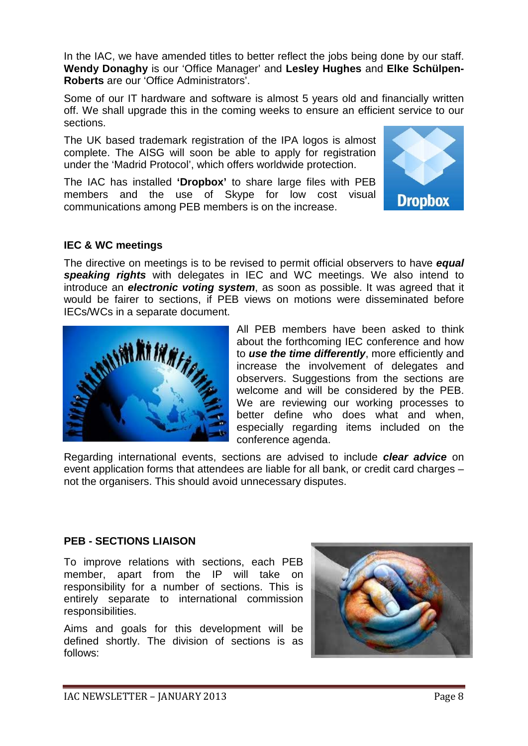In the IAC, we have amended titles to better reflect the jobs being done by our staff. **Wendy Donaghy** is our 'Office Manager' and **Lesley Hughes** and **Elke Schülpen-Roberts** are our 'Office Administrators'.

Some of our IT hardware and software is almost 5 years old and financially written off. We shall upgrade this in the coming weeks to ensure an efficient service to our sections.

The UK based trademark registration of the IPA logos is almost complete. The AISG will soon be able to apply for registration under the 'Madrid Protocol', which offers worldwide protection.

The IAC has installed **'Dropbox'** to share large files with PEB members and the use of Skype for low cost visual communications among PEB members is on the increase.



#### **IEC & WC meetings**

The directive on meetings is to be revised to permit official observers to have *equal speaking rights* with delegates in IEC and WC meetings. We also intend to introduce an *electronic voting system*, as soon as possible. It was agreed that it would be fairer to sections, if PEB views on motions were disseminated before IECs/WCs in a separate document.



All PEB members have been asked to think about the forthcoming IEC conference and how to *use the time differently*, more efficiently and increase the involvement of delegates and observers. Suggestions from the sections are welcome and will be considered by the PEB. We are reviewing our working processes to better define who does what and when, especially regarding items included on the conference agenda.

Regarding international events, sections are advised to include *clear advice* on event application forms that attendees are liable for all bank, or credit card charges – not the organisers. This should avoid unnecessary disputes.

#### **PEB - SECTIONS LIAISON**

To improve relations with sections, each PEB member, apart from the IP will take on responsibility for a number of sections. This is entirely separate to international commission responsibilities.

Aims and goals for this development will be defined shortly. The division of sections is as follows:

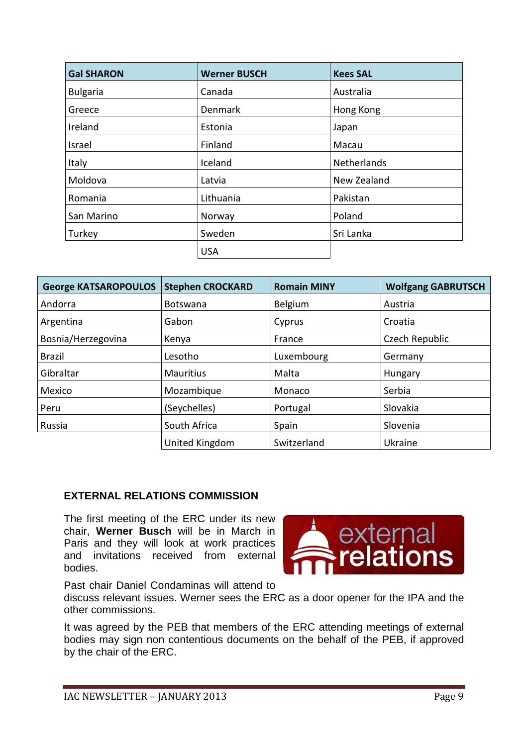| <b>Gal SHARON</b> | <b>Werner BUSCH</b> | <b>Kees SAL</b> |  |
|-------------------|---------------------|-----------------|--|
| <b>Bulgaria</b>   | Canada              | Australia       |  |
| Greece            | <b>Denmark</b>      | Hong Kong       |  |
| Ireland           | Estonia             | Japan           |  |
| Israel            | Finland             | Macau           |  |
| Italy             | Iceland             | Netherlands     |  |
| Moldova           | Latvia              | New Zealand     |  |
| Romania           | Lithuania           | Pakistan        |  |
| San Marino        | Norway              | Poland          |  |
| Turkey            | Sweden              | Sri Lanka       |  |
|                   | <b>USA</b>          |                 |  |

| <b>George KATSAROPOULOS</b> | <b>Stephen CROCKARD</b> | <b>Romain MINY</b> | <b>Wolfgang GABRUTSCH</b> |  |
|-----------------------------|-------------------------|--------------------|---------------------------|--|
| Andorra                     | <b>Botswana</b>         | Belgium            | Austria                   |  |
| Argentina                   | Gabon                   |                    | Croatia                   |  |
| Bosnia/Herzegovina          | Kenya                   |                    | Czech Republic            |  |
| <b>Brazil</b><br>Lesotho    |                         | Luxembourg         | Germany                   |  |
| Gibraltar                   | <b>Mauritius</b>        | Malta              | Hungary                   |  |
| Mexico                      | Mozambique              |                    | Serbia                    |  |
| (Seychelles)<br>Peru        |                         | Portugal           | Slovakia                  |  |
| Russia                      | South Africa            | Spain              | Slovenia                  |  |
|                             | United Kingdom          | Switzerland        | Ukraine                   |  |

#### **EXTERNAL RELATIONS COMMISSION**

The first meeting of the ERC under its new chair, **Werner Busch** will be in March in Paris and they will look at work practices and invitations received from external bodies.



Past chair Daniel Condaminas will attend to

discuss relevant issues. Werner sees the ERC as a door opener for the IPA and the other commissions.

It was agreed by the PEB that members of the ERC attending meetings of external bodies may sign non contentious documents on the behalf of the PEB, if approved by the chair of the ERC.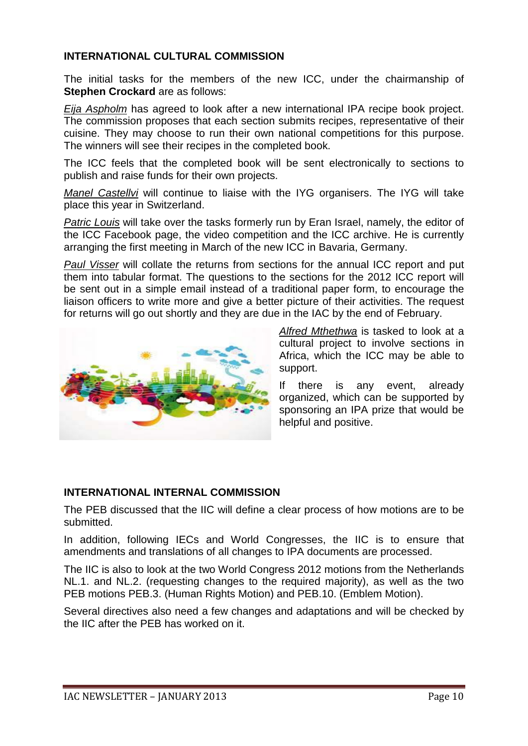#### **INTERNATIONAL CULTURAL COMMISSION**

The initial tasks for the members of the new ICC, under the chairmanship of **Stephen Crockard** are as follows:

*Eija Aspholm* has agreed to look after a new international IPA recipe book project. The commission proposes that each section submits recipes, representative of their cuisine. They may choose to run their own national competitions for this purpose. The winners will see their recipes in the completed book.

The ICC feels that the completed book will be sent electronically to sections to publish and raise funds for their own projects.

*Manel Castellvi* will continue to liaise with the IYG organisers. The IYG will take place this year in Switzerland.

*Patric Louis* will take over the tasks formerly run by Eran Israel, namely, the editor of the ICC Facebook page, the video competition and the ICC archive. He is currently arranging the first meeting in March of the new ICC in Bavaria, Germany.

*Paul Visser* will collate the returns from sections for the annual ICC report and put them into tabular format. The questions to the sections for the 2012 ICC report will be sent out in a simple email instead of a traditional paper form, to encourage the liaison officers to write more and give a better picture of their activities. The request for returns will go out shortly and they are due in the IAC by the end of February.



*Alfred Mthethwa* is tasked to look at a cultural project to involve sections in Africa, which the ICC may be able to support.

If there is any event, already organized, which can be supported by sponsoring an IPA prize that would be helpful and positive.

#### **INTERNATIONAL INTERNAL COMMISSION**

The PEB discussed that the IIC will define a clear process of how motions are to be submitted.

In addition, following IECs and World Congresses, the IIC is to ensure that amendments and translations of all changes to IPA documents are processed.

The IIC is also to look at the two World Congress 2012 motions from the Netherlands NL.1. and NL.2. (requesting changes to the required majority), as well as the two PEB motions PEB.3. (Human Rights Motion) and PEB.10. (Emblem Motion).

Several directives also need a few changes and adaptations and will be checked by the IIC after the PEB has worked on it.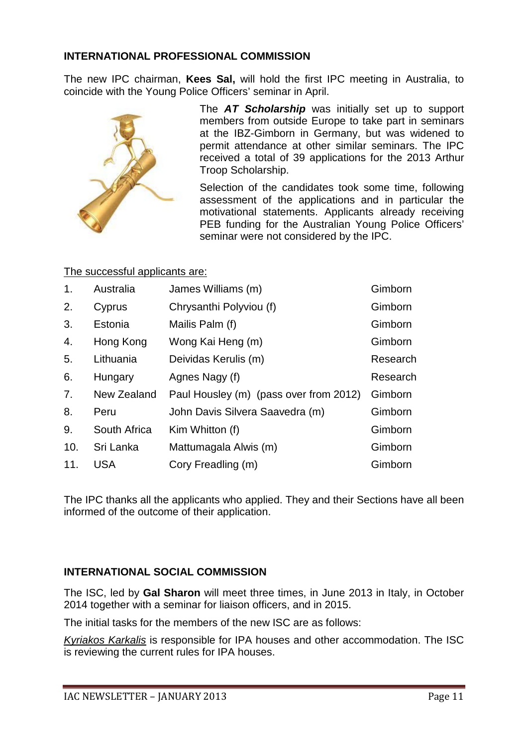#### **INTERNATIONAL PROFESSIONAL COMMISSION**

The new IPC chairman, **Kees Sal,** will hold the first IPC meeting in Australia, to coincide with the Young Police Officers' seminar in April.



The *AT Scholarship* was initially set up to support members from outside Europe to take part in seminars at the IBZ-Gimborn in Germany, but was widened to permit attendance at other similar seminars. The IPC received a total of 39 applications for the 2013 Arthur Troop Scholarship.

Selection of the candidates took some time, following assessment of the applications and in particular the motivational statements. Applicants already receiving PEB funding for the Australian Young Police Officers' seminar were not considered by the IPC.

#### The successful applicants are:

| $\mathbf{1}$ . | Australia    | James Williams (m)                     | Gimborn  |
|----------------|--------------|----------------------------------------|----------|
| 2.             | Cyprus       | Chrysanthi Polyviou (f)                | Gimborn  |
| 3.             | Estonia      | Mailis Palm (f)                        | Gimborn  |
| 4.             | Hong Kong    | Wong Kai Heng (m)                      | Gimborn  |
| 5.             | Lithuania    | Deividas Kerulis (m)                   | Research |
| 6.             | Hungary      | Agnes Nagy (f)                         | Research |
| 7 <sub>1</sub> | New Zealand  | Paul Housley (m) (pass over from 2012) | Gimborn  |
| 8.             | Peru         | John Davis Silvera Saavedra (m)        | Gimborn  |
| 9.             | South Africa | Kim Whitton (f)                        | Gimborn  |
| 10.            | Sri Lanka    | Mattumagala Alwis (m)                  | Gimborn  |
| 11.            | <b>USA</b>   | Cory Freadling (m)                     | Gimborn  |

The IPC thanks all the applicants who applied. They and their Sections have all been informed of the outcome of their application.

#### **INTERNATIONAL SOCIAL COMMISSION**

The ISC, led by **Gal Sharon** will meet three times, in June 2013 in Italy, in October 2014 together with a seminar for liaison officers, and in 2015.

The initial tasks for the members of the new ISC are as follows:

*Kyriakos Karkalis* is responsible for IPA houses and other accommodation. The ISC is reviewing the current rules for IPA houses.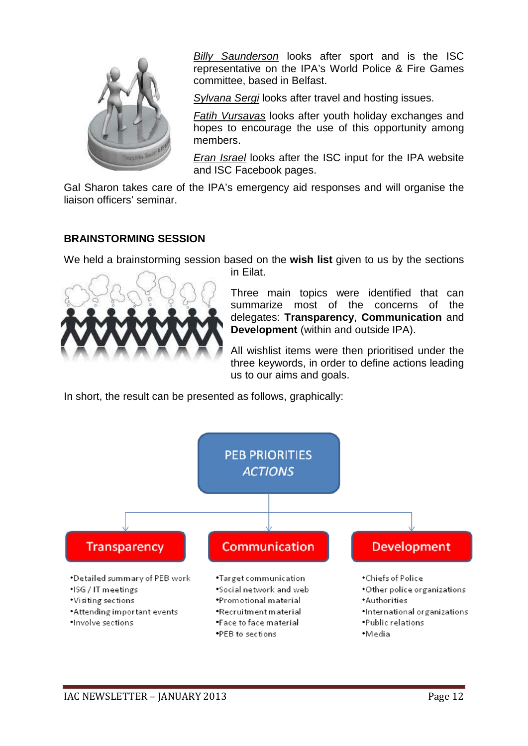

*Billy Saunderson* looks after sport and is the ISC representative on the IPA's World Police & Fire Games committee, based in Belfast.

*Sylvana Sergi* looks after travel and hosting issues.

*Fatih Vursavas* looks after youth holiday exchanges and hopes to encourage the use of this opportunity among members.

*Eran Israel* looks after the ISC input for the IPA website and ISC Facebook pages.

Gal Sharon takes care of the IPA's emergency aid responses and will organise the liaison officers' seminar.

#### **BRAINSTORMING SESSION**

We held a brainstorming session based on the **wish list** given to us by the sections



in Eilat.

Three main topics were identified that can summarize most of the concerns of the delegates: **Transparency**, **Communication** and **Development** (within and outside IPA).

All wishlist items were then prioritised under the three keywords, in order to define actions leading us to our aims and goals.

In short, the result can be presented as follows, graphically:

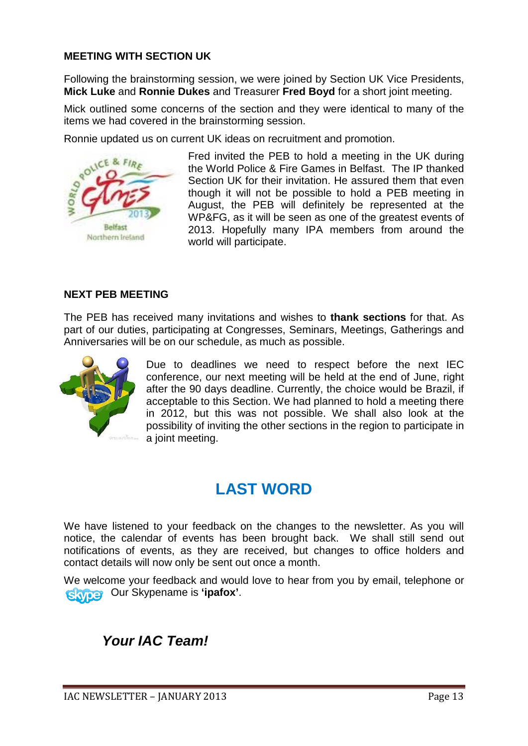#### **MEETING WITH SECTION UK**

Following the brainstorming session, we were joined by Section UK Vice Presidents, **Mick Luke** and **Ronnie Dukes** and Treasurer **Fred Boyd** for a short joint meeting.

Mick outlined some concerns of the section and they were identical to many of the items we had covered in the brainstorming session.

Ronnie updated us on current UK ideas on recruitment and promotion.



Fred invited the PEB to hold a meeting in the UK during the World Police & Fire Games in Belfast. The IP thanked Section UK for their invitation. He assured them that even though it will not be possible to hold a PEB meeting in August, the PEB will definitely be represented at the WP&FG, as it will be seen as one of the greatest events of 2013. Hopefully many IPA members from around the world will participate.

#### **NEXT PEB MEETING**

The PEB has received many invitations and wishes to **thank sections** for that. As part of our duties, participating at Congresses, Seminars, Meetings, Gatherings and Anniversaries will be on our schedule, as much as possible.



Due to deadlines we need to respect before the next IEC conference, our next meeting will be held at the end of June, right after the 90 days deadline. Currently, the choice would be Brazil, if acceptable to this Section. We had planned to hold a meeting there in 2012, but this was not possible. We shall also look at the possibility of inviting the other sections in the region to participate in a joint meeting.

## **LAST WORD**

We have listened to your feedback on the changes to the newsletter. As you will notice, the calendar of events has been brought back. We shall still send out notifications of events, as they are received, but changes to office holders and contact details will now only be sent out once a month.

We welcome your feedback and would love to hear from you by email, telephone or Our Skypename is **'ipafox'**.

### *Your IAC Team!*